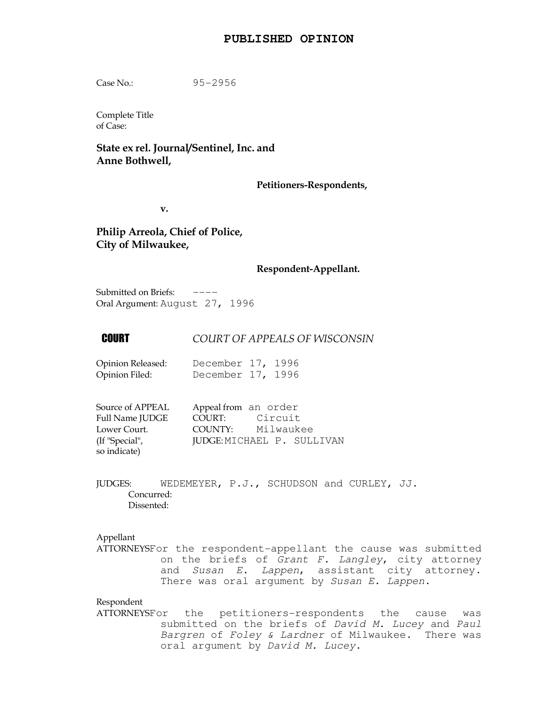## **PUBLISHED OPINION**

Case No.: 95-2956

Complete Title of Case:

# State ex rel. Journal/Sentinel, Inc. and Anne Bothwell,

## Petitioners-Respondents,

v.

Philip Arreola, Chief of Police, City of Milwaukee,

## Respondent-Appellant.

Submitted on Briefs:  $---$ Oral Argument: August 27, 1996

## **COURT COURT OF APPEALS OF WISCONSIN**

| Opinion Released: | December 17, 1996 |  |
|-------------------|-------------------|--|
| Opinion Filed:    | December 17, 1996 |  |

| Source of APPEAL       | Appeal from an order |                            |
|------------------------|----------------------|----------------------------|
| <b>Full Name JUDGE</b> | COURT:               | Circuit                    |
| Lower Court.           | COUNTY:              | Milwaukee                  |
| (If "Special",         |                      | JUDGE: MICHAEL P. SULLIVAN |
| so indicate)           |                      |                            |

JUDGES: WEDEMEYER, P.J., SCHUDSON and CURLEY, JJ. Concurred: Dissented:

## Appellant

ATTORNEYSFor the respondent-appellant the cause was submitted on the briefs of Grant F. Langley, city attorney and Susan E. Lappen, assistant city attorney. There was oral argument by Susan E. Lappen.

Respondent

ATTORNEYSFor the petitioners-respondents the cause was submitted on the briefs of David M. Lucey and Paul Bargren of Foley & Lardner of Milwaukee. There was oral argument by David M. Lucey.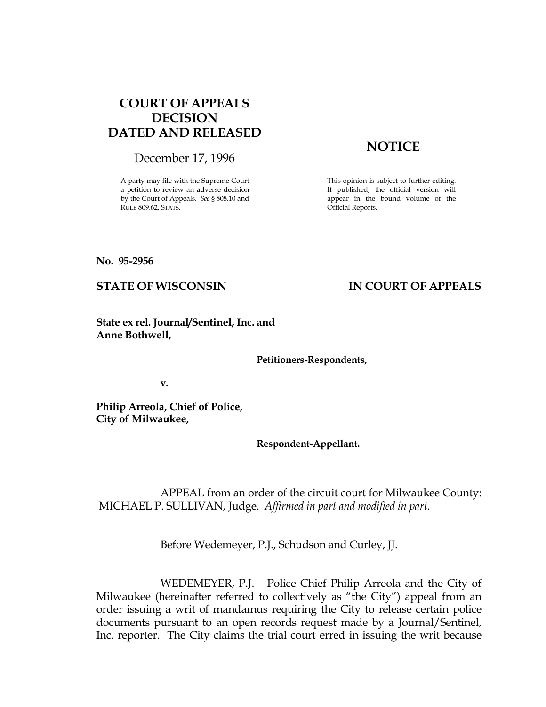# COURT OF APPEALS DECISION DATED AND RELEASED

December 17, 1996

A party may file with the Supreme Court a petition to review an adverse decision by the Court of Appeals. See § 808.10 and RULE 809.62, STATS.

# **NOTICE**

This opinion is subject to further editing. If published, the official version will appear in the bound volume of the Official Reports.

No. 95-2956

# STATE OF WISCONSIN IN COURT OF APPEALS

State ex rel. Journal/Sentinel, Inc. and Anne Bothwell,

Petitioners-Respondents,

v.

Philip Arreola, Chief of Police, City of Milwaukee,

Respondent-Appellant.

 APPEAL from an order of the circuit court for Milwaukee County: MICHAEL P. SULLIVAN, Judge. Affirmed in part and modified in part.

Before Wedemeyer, P.J., Schudson and Curley, JJ.

 WEDEMEYER, P.J. Police Chief Philip Arreola and the City of Milwaukee (hereinafter referred to collectively as "the City") appeal from an order issuing a writ of mandamus requiring the City to release certain police documents pursuant to an open records request made by a Journal/Sentinel, Inc. reporter. The City claims the trial court erred in issuing the writ because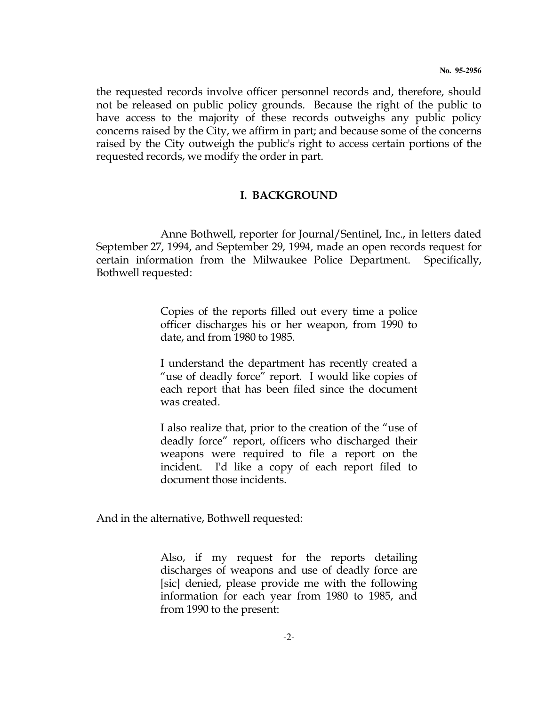the requested records involve officer personnel records and, therefore, should not be released on public policy grounds. Because the right of the public to have access to the majority of these records outweighs any public policy concerns raised by the City, we affirm in part; and because some of the concerns raised by the City outweigh the public's right to access certain portions of the requested records, we modify the order in part.

# I. BACKGROUND

 Anne Bothwell, reporter for Journal/Sentinel, Inc., in letters dated September 27, 1994, and September 29, 1994, made an open records request for certain information from the Milwaukee Police Department. Specifically, Bothwell requested:

> Copies of the reports filled out every time a police officer discharges his or her weapon, from 1990 to date, and from 1980 to 1985.

> I understand the department has recently created a "use of deadly force" report. I would like copies of each report that has been filed since the document was created.

> I also realize that, prior to the creation of the "use of deadly force" report, officers who discharged their weapons were required to file a report on the incident. I'd like a copy of each report filed to document those incidents.

And in the alternative, Bothwell requested:

 Also, if my request for the reports detailing discharges of weapons and use of deadly force are [sic] denied, please provide me with the following information for each year from 1980 to 1985, and from 1990 to the present: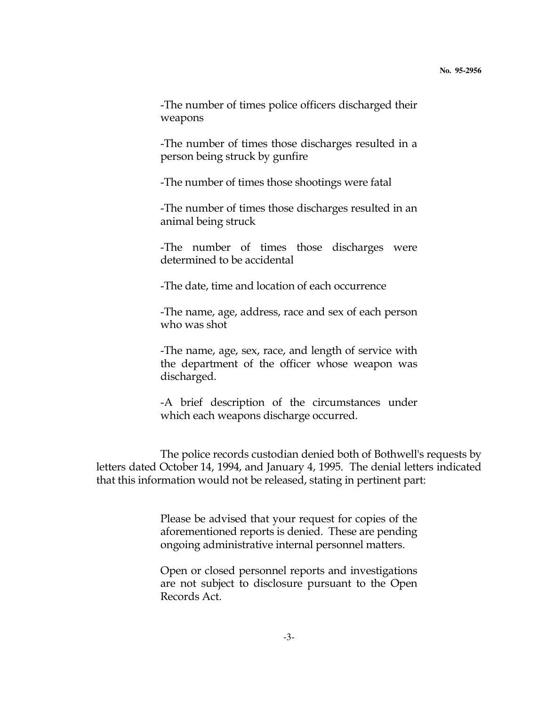-The number of times police officers discharged their weapons

 -The number of times those discharges resulted in a person being struck by gunfire

-The number of times those shootings were fatal

 -The number of times those discharges resulted in an animal being struck

 -The number of times those discharges were determined to be accidental

-The date, time and location of each occurrence

 -The name, age, address, race and sex of each person who was shot

 -The name, age, sex, race, and length of service with the department of the officer whose weapon was discharged.

 -A brief description of the circumstances under which each weapons discharge occurred.

 The police records custodian denied both of Bothwell's requests by letters dated October 14, 1994, and January 4, 1995. The denial letters indicated that this information would not be released, stating in pertinent part:

> Please be advised that your request for copies of the aforementioned reports is denied. These are pending ongoing administrative internal personnel matters.

> Open or closed personnel reports and investigations are not subject to disclosure pursuant to the Open Records Act.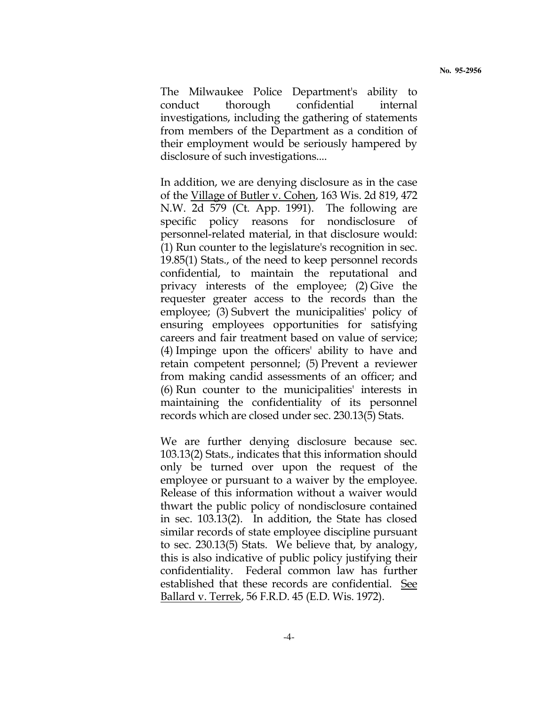The Milwaukee Police Department's ability to conduct thorough confidential internal investigations, including the gathering of statements from members of the Department as a condition of their employment would be seriously hampered by disclosure of such investigations....

 In addition, we are denying disclosure as in the case of the Village of Butler v. Cohen, 163 Wis. 2d 819, 472 N.W. 2d 579 (Ct. App. 1991). The following are specific policy reasons for nondisclosure of personnel-related material, in that disclosure would: (1) Run counter to the legislature's recognition in sec. 19.85(1) Stats., of the need to keep personnel records confidential, to maintain the reputational and privacy interests of the employee; (2) Give the requester greater access to the records than the employee; (3) Subvert the municipalities' policy of ensuring employees opportunities for satisfying careers and fair treatment based on value of service; (4) Impinge upon the officers' ability to have and retain competent personnel; (5) Prevent a reviewer from making candid assessments of an officer; and (6) Run counter to the municipalities' interests in maintaining the confidentiality of its personnel records which are closed under sec. 230.13(5) Stats.

 We are further denying disclosure because sec. 103.13(2) Stats., indicates that this information should only be turned over upon the request of the employee or pursuant to a waiver by the employee. Release of this information without a waiver would thwart the public policy of nondisclosure contained in sec. 103.13(2). In addition, the State has closed similar records of state employee discipline pursuant to sec. 230.13(5) Stats. We believe that, by analogy, this is also indicative of public policy justifying their confidentiality. Federal common law has further established that these records are confidential. See Ballard v. Terrek, 56 F.R.D. 45 (E.D. Wis. 1972).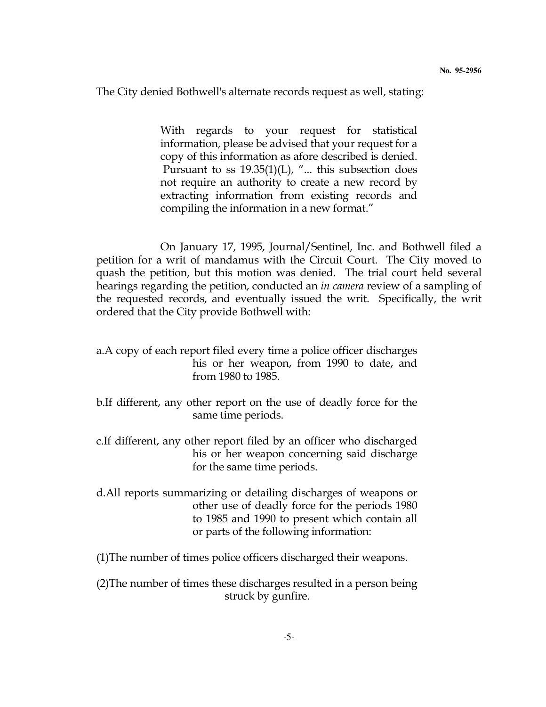The City denied Bothwell's alternate records request as well, stating:

 With regards to your request for statistical information, please be advised that your request for a copy of this information as afore described is denied. Pursuant to ss  $19.35(1)(L)$ , "... this subsection does not require an authority to create a new record by extracting information from existing records and compiling the information in a new format."

 On January 17, 1995, Journal/Sentinel, Inc. and Bothwell filed a petition for a writ of mandamus with the Circuit Court. The City moved to quash the petition, but this motion was denied. The trial court held several hearings regarding the petition, conducted an in camera review of a sampling of the requested records, and eventually issued the writ. Specifically, the writ ordered that the City provide Bothwell with:

- a.A copy of each report filed every time a police officer discharges his or her weapon, from 1990 to date, and from 1980 to 1985.
- b.If different, any other report on the use of deadly force for the same time periods.
- c.If different, any other report filed by an officer who discharged his or her weapon concerning said discharge for the same time periods.
- d.All reports summarizing or detailing discharges of weapons or other use of deadly force for the periods 1980 to 1985 and 1990 to present which contain all or parts of the following information:

(1)The number of times police officers discharged their weapons.

(2)The number of times these discharges resulted in a person being struck by gunfire.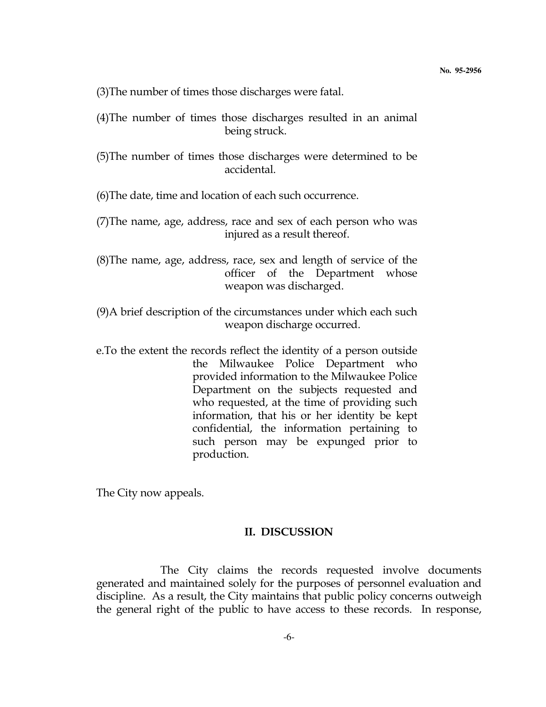(3)The number of times those discharges were fatal.

- (4)The number of times those discharges resulted in an animal being struck.
- (5)The number of times those discharges were determined to be accidental.

(6)The date, time and location of each such occurrence.

- (7)The name, age, address, race and sex of each person who was injured as a result thereof.
- (8)The name, age, address, race, sex and length of service of the officer of the Department whose weapon was discharged.
- (9)A brief description of the circumstances under which each such weapon discharge occurred.
- e.To the extent the records reflect the identity of a person outside the Milwaukee Police Department who provided information to the Milwaukee Police Department on the subjects requested and who requested, at the time of providing such information, that his or her identity be kept confidential, the information pertaining to such person may be expunged prior to production.

The City now appeals.

## II. DISCUSSION

 The City claims the records requested involve documents generated and maintained solely for the purposes of personnel evaluation and discipline. As a result, the City maintains that public policy concerns outweigh the general right of the public to have access to these records. In response,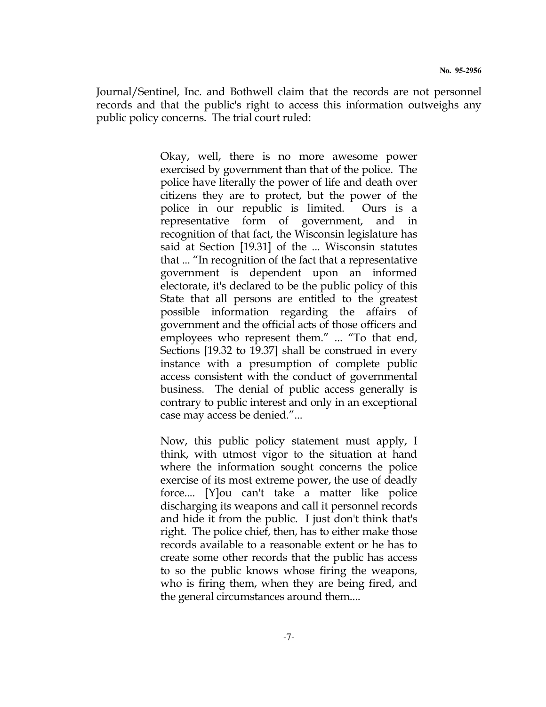Journal/Sentinel, Inc. and Bothwell claim that the records are not personnel records and that the public's right to access this information outweighs any public policy concerns. The trial court ruled:

> Okay, well, there is no more awesome power exercised by government than that of the police. The police have literally the power of life and death over citizens they are to protect, but the power of the police in our republic is limited. Ours is a representative form of government, and in recognition of that fact, the Wisconsin legislature has said at Section [19.31] of the ... Wisconsin statutes that ... "In recognition of the fact that a representative government is dependent upon an informed electorate, it's declared to be the public policy of this State that all persons are entitled to the greatest possible information regarding the affairs of government and the official acts of those officers and employees who represent them." ... "To that end, Sections [19.32 to 19.37] shall be construed in every instance with a presumption of complete public access consistent with the conduct of governmental business. The denial of public access generally is contrary to public interest and only in an exceptional case may access be denied."...

> Now, this public policy statement must apply, I think, with utmost vigor to the situation at hand where the information sought concerns the police exercise of its most extreme power, the use of deadly force.... [Y]ou can't take a matter like police discharging its weapons and call it personnel records and hide it from the public. I just don't think that's right. The police chief, then, has to either make those records available to a reasonable extent or he has to create some other records that the public has access to so the public knows whose firing the weapons, who is firing them, when they are being fired, and the general circumstances around them....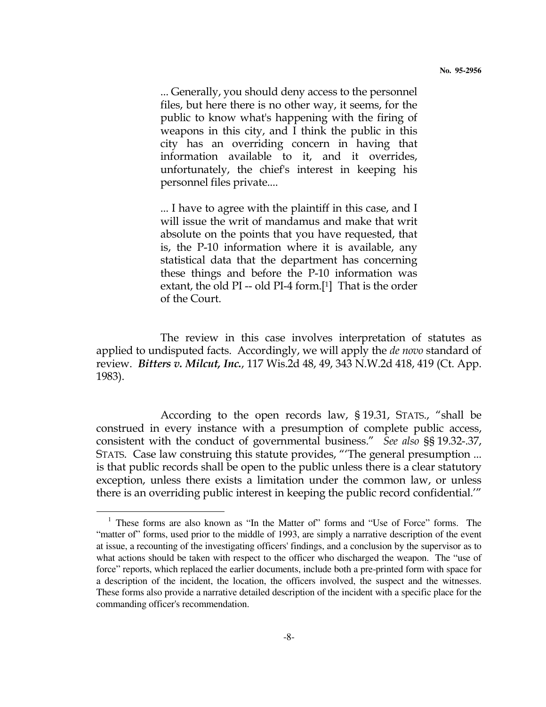... Generally, you should deny access to the personnel files, but here there is no other way, it seems, for the public to know what's happening with the firing of weapons in this city, and I think the public in this city has an overriding concern in having that information available to it, and it overrides, unfortunately, the chief's interest in keeping his personnel files private....

 ... I have to agree with the plaintiff in this case, and I will issue the writ of mandamus and make that writ absolute on the points that you have requested, that is, the P-10 information where it is available, any statistical data that the department has concerning these things and before the P-10 information was extant, the old  $PI - old PI - 4$  form.[1] That is the order of the Court.

 The review in this case involves interpretation of statutes as applied to undisputed facts. Accordingly, we will apply the *de novo* standard of review. Bitters v. Milcut, Inc., 117 Wis.2d 48, 49, 343 N.W.2d 418, 419 (Ct. App. 1983).

 According to the open records law, § 19.31, STATS., "shall be construed in every instance with a presumption of complete public access, consistent with the conduct of governmental business." See also §§ 19.32-.37, STATS. Case law construing this statute provides, "'The general presumption ... is that public records shall be open to the public unless there is a clear statutory exception, unless there exists a limitation under the common law, or unless there is an overriding public interest in keeping the public record confidential.'"

 $\overline{a}$ 

<sup>&</sup>lt;sup>1</sup> These forms are also known as "In the Matter of" forms and "Use of Force" forms. The "matter of" forms, used prior to the middle of 1993, are simply a narrative description of the event at issue, a recounting of the investigating officers' findings, and a conclusion by the supervisor as to what actions should be taken with respect to the officer who discharged the weapon. The "use of force" reports, which replaced the earlier documents, include both a pre-printed form with space for a description of the incident, the location, the officers involved, the suspect and the witnesses. These forms also provide a narrative detailed description of the incident with a specific place for the commanding officer's recommendation.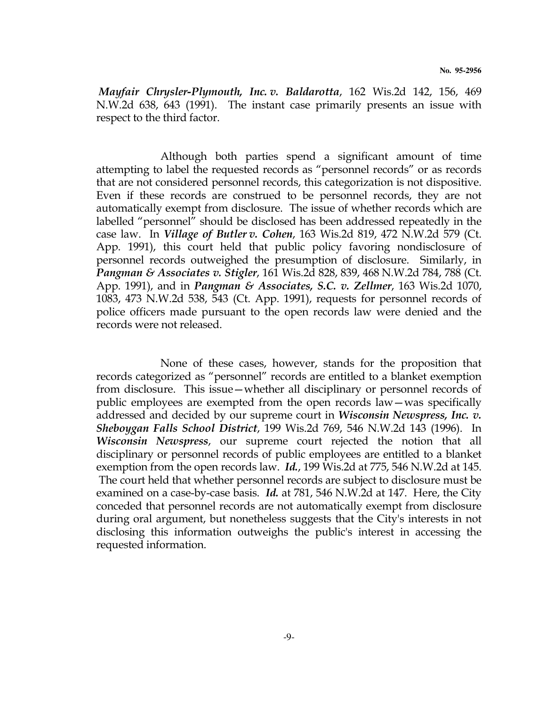Mayfair Chrysler-Plymouth, Inc. v. Baldarotta, 162 Wis.2d 142, 156, 469 N.W.2d 638, 643 (1991). The instant case primarily presents an issue with respect to the third factor.

 Although both parties spend a significant amount of time attempting to label the requested records as "personnel records" or as records that are not considered personnel records, this categorization is not dispositive. Even if these records are construed to be personnel records, they are not automatically exempt from disclosure. The issue of whether records which are labelled "personnel" should be disclosed has been addressed repeatedly in the case law. In *Village of Butler v. Cohen*, 163 Wis.2d 819, 472 N.W.2d 579 (Ct. App. 1991), this court held that public policy favoring nondisclosure of personnel records outweighed the presumption of disclosure. Similarly, in Pangman & Associates v. Stigler, 161 Wis.2d 828, 839, 468 N.W.2d 784, 788 (Ct. App. 1991), and in *Pangman & Associates, S.C. v. Zellmer*, 163 Wis.2d 1070, 1083, 473 N.W.2d 538, 543 (Ct. App. 1991), requests for personnel records of police officers made pursuant to the open records law were denied and the records were not released.

 None of these cases, however, stands for the proposition that records categorized as "personnel" records are entitled to a blanket exemption from disclosure. This issue—whether all disciplinary or personnel records of public employees are exempted from the open records law—was specifically addressed and decided by our supreme court in *Wisconsin Newspress, Inc. v.* Sheboygan Falls School District, 199 Wis.2d 769, 546 N.W.2d 143 (1996). In Wisconsin Newspress, our supreme court rejected the notion that all disciplinary or personnel records of public employees are entitled to a blanket exemption from the open records law. *Id.*, 199 Wis.2d at 775, 546 N.W.2d at 145. The court held that whether personnel records are subject to disclosure must be examined on a case-by-case basis. Id. at  $781, 546$  N.W.2d at 147. Here, the City conceded that personnel records are not automatically exempt from disclosure during oral argument, but nonetheless suggests that the City's interests in not disclosing this information outweighs the public's interest in accessing the requested information.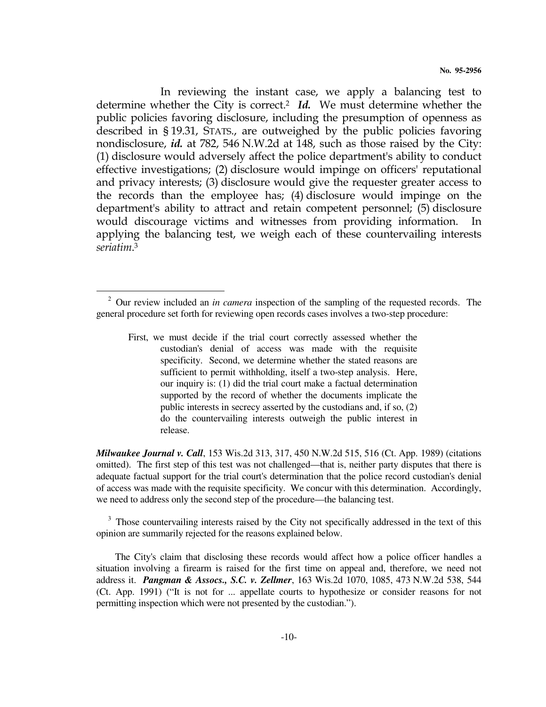In reviewing the instant case, we apply a balancing test to determine whether the City is correct.<sup>2</sup> Id. We must determine whether the public policies favoring disclosure, including the presumption of openness as described in § 19.31, STATS., are outweighed by the public policies favoring nondisclosure, id. at 782, 546 N.W.2d at 148, such as those raised by the City: (1) disclosure would adversely affect the police department's ability to conduct effective investigations; (2) disclosure would impinge on officers' reputational and privacy interests; (3) disclosure would give the requester greater access to the records than the employee has; (4) disclosure would impinge on the department's ability to attract and retain competent personnel; (5) disclosure would discourage victims and witnesses from providing information. applying the balancing test, we weigh each of these countervailing interests seriatim. 3

 $\overline{a}$ 

*Milwaukee Journal v. Call*, 153 Wis.2d 313, 317, 450 N.W.2d 515, 516 (Ct. App. 1989) (citations omitted). The first step of this test was not challenged—that is, neither party disputes that there is adequate factual support for the trial court's determination that the police record custodian's denial of access was made with the requisite specificity. We concur with this determination. Accordingly, we need to address only the second step of the procedure—the balancing test.

<sup>3</sup> Those countervailing interests raised by the City not specifically addressed in the text of this opinion are summarily rejected for the reasons explained below.

 The City's claim that disclosing these records would affect how a police officer handles a situation involving a firearm is raised for the first time on appeal and, therefore, we need not address it. *Pangman & Assocs., S.C. v. Zellmer*, 163 Wis.2d 1070, 1085, 473 N.W.2d 538, 544 (Ct. App. 1991) ("It is not for ... appellate courts to hypothesize or consider reasons for not permitting inspection which were not presented by the custodian.").

<sup>2</sup> Our review included an *in camera* inspection of the sampling of the requested records. The general procedure set forth for reviewing open records cases involves a two-step procedure:

First, we must decide if the trial court correctly assessed whether the custodian's denial of access was made with the requisite specificity. Second, we determine whether the stated reasons are sufficient to permit withholding, itself a two-step analysis. Here, our inquiry is: (1) did the trial court make a factual determination supported by the record of whether the documents implicate the public interests in secrecy asserted by the custodians and, if so, (2) do the countervailing interests outweigh the public interest in release.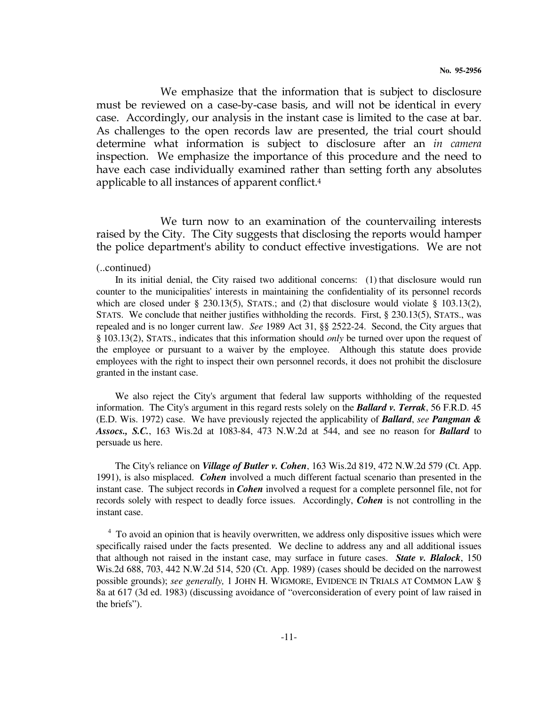We emphasize that the information that is subject to disclosure must be reviewed on a case-by-case basis, and will not be identical in every case. Accordingly, our analysis in the instant case is limited to the case at bar. As challenges to the open records law are presented, the trial court should determine what information is subject to disclosure after an in camera inspection. We emphasize the importance of this procedure and the need to have each case individually examined rather than setting forth any absolutes applicable to all instances of apparent conflict.<sup>4</sup>

 We turn now to an examination of the countervailing interests raised by the City. The City suggests that disclosing the reports would hamper the police department's ability to conduct effective investigations. We are not

#### (..continued)

 In its initial denial, the City raised two additional concerns: (1) that disclosure would run counter to the municipalities' interests in maintaining the confidentiality of its personnel records which are closed under § 230.13(5), STATS.; and (2) that disclosure would violate § 103.13(2), STATS. We conclude that neither justifies withholding the records. First, § 230.13(5), STATS., was repealed and is no longer current law. *See* 1989 Act 31, §§ 2522-24. Second, the City argues that § 103.13(2), STATS., indicates that this information should *only* be turned over upon the request of the employee or pursuant to a waiver by the employee. Although this statute does provide employees with the right to inspect their own personnel records, it does not prohibit the disclosure granted in the instant case.

 We also reject the City's argument that federal law supports withholding of the requested information. The City's argument in this regard rests solely on the *Ballard v. Terrak*, 56 F.R.D. 45 (E.D. Wis. 1972) case. We have previously rejected the applicability of *Ballard*, *see Pangman & Assocs., S.C.*, 163 Wis.2d at 1083-84, 473 N.W.2d at 544, and see no reason for *Ballard* to persuade us here.

 The City's reliance on *Village of Butler v. Cohen*, 163 Wis.2d 819, 472 N.W.2d 579 (Ct. App. 1991), is also misplaced. *Cohen* involved a much different factual scenario than presented in the instant case. The subject records in *Cohen* involved a request for a complete personnel file, not for records solely with respect to deadly force issues. Accordingly, *Cohen* is not controlling in the instant case.

<sup>4</sup> To avoid an opinion that is heavily overwritten, we address only dispositive issues which were specifically raised under the facts presented. We decline to address any and all additional issues that although not raised in the instant case, may surface in future cases. *State v. Blalock*, 150 Wis.2d 688, 703, 442 N.W.2d 514, 520 (Ct. App. 1989) (cases should be decided on the narrowest possible grounds); *see generally,* 1 JOHN H. WIGMORE, EVIDENCE IN TRIALS AT COMMON LAW § 8a at 617 (3d ed. 1983) (discussing avoidance of "overconsideration of every point of law raised in the briefs").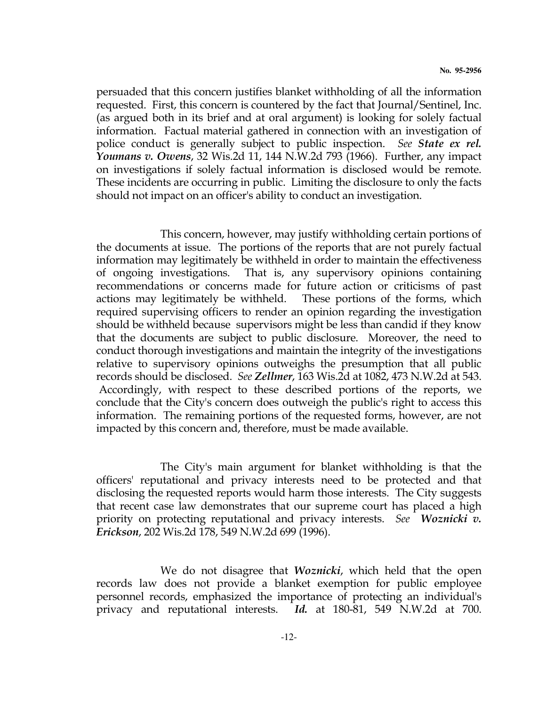persuaded that this concern justifies blanket withholding of all the information requested. First, this concern is countered by the fact that Journal/Sentinel, Inc. (as argued both in its brief and at oral argument) is looking for solely factual information. Factual material gathered in connection with an investigation of police conduct is generally subject to public inspection. See **State ex rel.** Youmans v. Owens, 32 Wis.2d 11, 144 N.W.2d 793 (1966). Further, any impact on investigations if solely factual information is disclosed would be remote. These incidents are occurring in public. Limiting the disclosure to only the facts should not impact on an officer's ability to conduct an investigation.

 This concern, however, may justify withholding certain portions of the documents at issue. The portions of the reports that are not purely factual information may legitimately be withheld in order to maintain the effectiveness of ongoing investigations. That is, any supervisory opinions containing recommendations or concerns made for future action or criticisms of past actions may legitimately be withheld. These portions of the forms, which required supervising officers to render an opinion regarding the investigation should be withheld because supervisors might be less than candid if they know that the documents are subject to public disclosure. Moreover, the need to conduct thorough investigations and maintain the integrity of the investigations relative to supervisory opinions outweighs the presumption that all public records should be disclosed. See Zellmer, 163 Wis.2d at 1082, 473 N.W.2d at 543. Accordingly, with respect to these described portions of the reports, we conclude that the City's concern does outweigh the public's right to access this information. The remaining portions of the requested forms, however, are not impacted by this concern and, therefore, must be made available.

 The City's main argument for blanket withholding is that the officers' reputational and privacy interests need to be protected and that disclosing the requested reports would harm those interests. The City suggests that recent case law demonstrates that our supreme court has placed a high priority on protecting reputational and privacy interests. See Woznicki v. Erickson, 202 Wis.2d 178, 549 N.W.2d 699 (1996).

We do not disagree that *Woznicki*, which held that the open records law does not provide a blanket exemption for public employee personnel records, emphasized the importance of protecting an individual's privacy and reputational interests. Id. at 180-81, 549 N.W.2d at 700.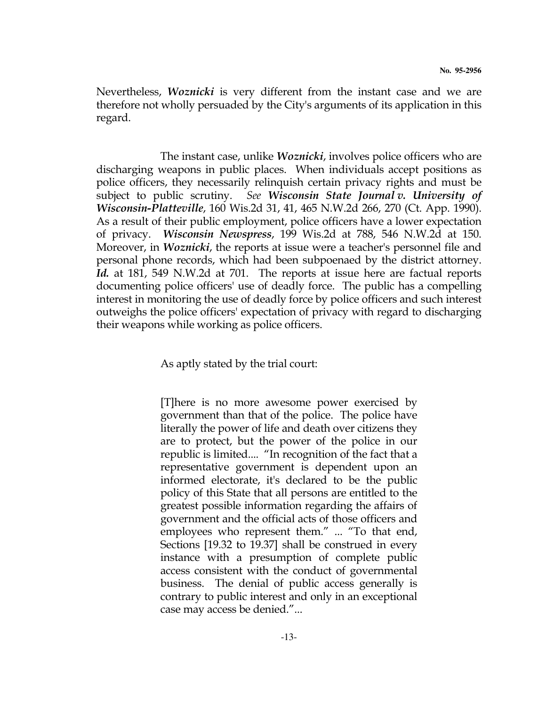Nevertheless, *Woznicki* is very different from the instant case and we are therefore not wholly persuaded by the City's arguments of its application in this regard.

The instant case, unlike *Woznicki*, involves police officers who are discharging weapons in public places. When individuals accept positions as police officers, they necessarily relinquish certain privacy rights and must be subject to public scrutiny. See Wisconsin State Journal v. University of Wisconsin-Platteville, 160 Wis.2d 31, 41, 465 N.W.2d 266, 270 (Ct. App. 1990). As a result of their public employment, police officers have a lower expectation of privacy. Wisconsin Newspress, 199 Wis.2d at 788, 546 N.W.2d at 150. Moreover, in *Woznicki*, the reports at issue were a teacher's personnel file and personal phone records, which had been subpoenaed by the district attorney. Id. at 181, 549 N.W.2d at 701. The reports at issue here are factual reports documenting police officers' use of deadly force. The public has a compelling interest in monitoring the use of deadly force by police officers and such interest outweighs the police officers' expectation of privacy with regard to discharging their weapons while working as police officers.

As aptly stated by the trial court:

 [T]here is no more awesome power exercised by government than that of the police. The police have literally the power of life and death over citizens they are to protect, but the power of the police in our republic is limited.... "In recognition of the fact that a representative government is dependent upon an informed electorate, it's declared to be the public policy of this State that all persons are entitled to the greatest possible information regarding the affairs of government and the official acts of those officers and employees who represent them." ... "To that end, Sections [19.32 to 19.37] shall be construed in every instance with a presumption of complete public access consistent with the conduct of governmental business. The denial of public access generally is contrary to public interest and only in an exceptional case may access be denied."...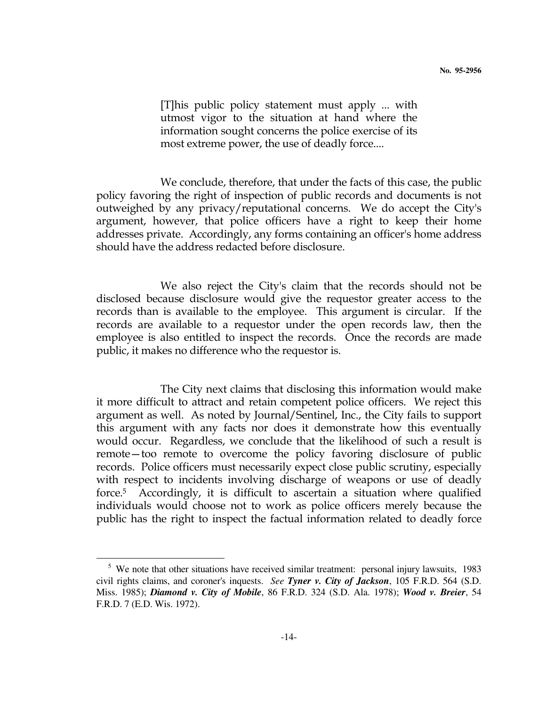[T]his public policy statement must apply ... with utmost vigor to the situation at hand where the information sought concerns the police exercise of its most extreme power, the use of deadly force....

 We conclude, therefore, that under the facts of this case, the public policy favoring the right of inspection of public records and documents is not outweighed by any privacy/reputational concerns. We do accept the City's argument, however, that police officers have a right to keep their home addresses private. Accordingly, any forms containing an officer's home address should have the address redacted before disclosure.

 We also reject the City's claim that the records should not be disclosed because disclosure would give the requestor greater access to the records than is available to the employee. This argument is circular. If the records are available to a requestor under the open records law, then the employee is also entitled to inspect the records. Once the records are made public, it makes no difference who the requestor is.

 The City next claims that disclosing this information would make it more difficult to attract and retain competent police officers. We reject this argument as well. As noted by Journal/Sentinel, Inc., the City fails to support this argument with any facts nor does it demonstrate how this eventually would occur. Regardless, we conclude that the likelihood of such a result is remote—too remote to overcome the policy favoring disclosure of public records. Police officers must necessarily expect close public scrutiny, especially with respect to incidents involving discharge of weapons or use of deadly force.5 Accordingly, it is difficult to ascertain a situation where qualified individuals would choose not to work as police officers merely because the public has the right to inspect the factual information related to deadly force

 $\overline{a}$ 

<sup>&</sup>lt;sup>5</sup> We note that other situations have received similar treatment: personal injury lawsuits, 1983 civil rights claims, and coroner's inquests. *See Tyner v. City of Jackson*, 105 F.R.D. 564 (S.D. Miss. 1985); *Diamond v. City of Mobile*, 86 F.R.D. 324 (S.D. Ala. 1978); *Wood v. Breier*, 54 F.R.D. 7 (E.D. Wis. 1972).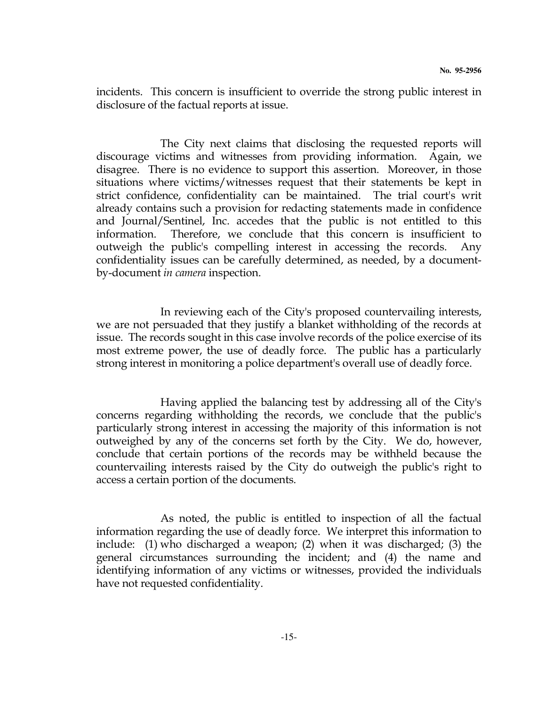incidents. This concern is insufficient to override the strong public interest in disclosure of the factual reports at issue.

 The City next claims that disclosing the requested reports will discourage victims and witnesses from providing information. Again, we disagree. There is no evidence to support this assertion. Moreover, in those situations where victims/witnesses request that their statements be kept in strict confidence, confidentiality can be maintained. The trial court's writ already contains such a provision for redacting statements made in confidence and Journal/Sentinel, Inc. accedes that the public is not entitled to this information. Therefore, we conclude that this concern is insufficient to outweigh the public's compelling interest in accessing the records. Any confidentiality issues can be carefully determined, as needed, by a documentby-document in camera inspection.

 In reviewing each of the City's proposed countervailing interests, we are not persuaded that they justify a blanket withholding of the records at issue. The records sought in this case involve records of the police exercise of its most extreme power, the use of deadly force. The public has a particularly strong interest in monitoring a police department's overall use of deadly force.

 Having applied the balancing test by addressing all of the City's concerns regarding withholding the records, we conclude that the public's particularly strong interest in accessing the majority of this information is not outweighed by any of the concerns set forth by the City. We do, however, conclude that certain portions of the records may be withheld because the countervailing interests raised by the City do outweigh the public's right to access a certain portion of the documents.

 As noted, the public is entitled to inspection of all the factual information regarding the use of deadly force. We interpret this information to include: (1) who discharged a weapon; (2) when it was discharged; (3) the general circumstances surrounding the incident; and (4) the name and identifying information of any victims or witnesses, provided the individuals have not requested confidentiality.